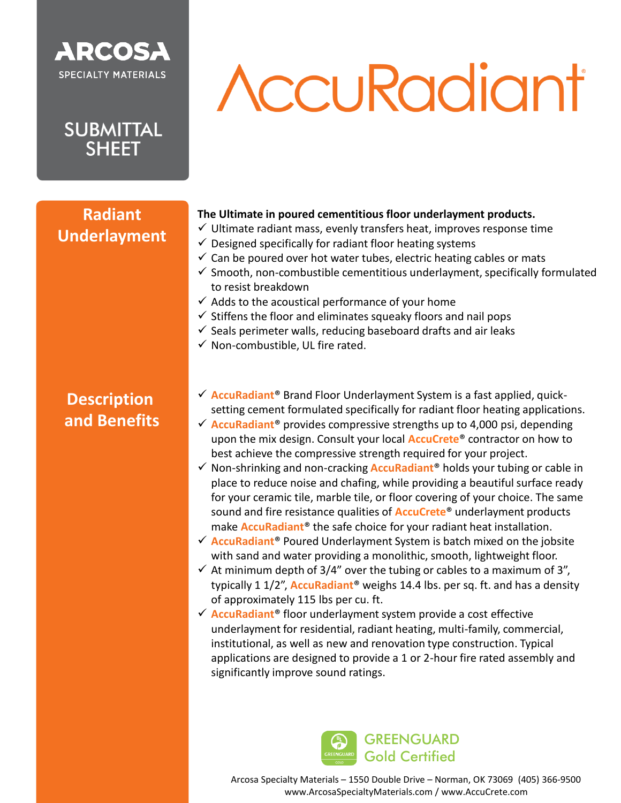### **ARCOSA SPECIALTY MATERIALS**

**SUBMITTAL SHEET** 

**Radiant**

**Underlayment**

# **AccuRadiant**

#### **The Ultimate in poured cementitious floor underlayment products.**

- $\checkmark$  Ultimate radiant mass, evenly transfers heat, improves response time
- $\checkmark$  Designed specifically for radiant floor heating systems
- $\checkmark$  Can be poured over hot water tubes, electric heating cables or mats
- $\checkmark$  Smooth, non-combustible cementitious underlayment, specifically formulated to resist breakdown
- $\checkmark$  Adds to the acoustical performance of your home
- $\checkmark$  Stiffens the floor and eliminates squeaky floors and nail pops
- $\checkmark$  Seals perimeter walls, reducing baseboard drafts and air leaks
- $\checkmark$  Non-combustible, UL fire rated.

#### **Description and Benefits**

- ✓ **AccuRadiant**® Brand Floor Underlayment System is a fast applied, quicksetting cement formulated specifically for radiant floor heating applications.
- ✓ **AccuRadiant**® provides compressive strengths up to 4,000 psi, depending upon the mix design. Consult your local **AccuCrete**® contractor on how to best achieve the compressive strength required for your project.
- ✓ Non-shrinking and non-cracking **AccuRadiant**® holds your tubing or cable in place to reduce noise and chafing, while providing a beautiful surface ready for your ceramic tile, marble tile, or floor covering of your choice. The same sound and fire resistance qualities of **AccuCrete**® underlayment products make **AccuRadiant**® the safe choice for your radiant heat installation.
- ✓ **AccuRadiant**® Poured Underlayment System is batch mixed on the jobsite with sand and water providing a monolithic, smooth, lightweight floor.
- $\checkmark$  At minimum depth of 3/4" over the tubing or cables to a maximum of 3", typically 1 1/2", **AccuRadiant**® weighs 14.4 lbs. per sq. ft. and has a density of approximately 115 lbs per cu. ft.
- ✓ **AccuRadiant**® floor underlayment system provide a cost effective underlayment for residential, radiant heating, multi-family, commercial, institutional, as well as new and renovation type construction. Typical applications are designed to provide a 1 or 2-hour fire rated assembly and significantly improve sound ratings.



Arcosa Specialty Materials – 1550 Double Drive – Norman, OK 73069 (405) 366-9500 Arcosa Specialty Materials – 1550 Double Drive – Norman, OK 73069 (405) 366-9500 www.ArcosaSpecialtyMaterials.com / www.AccuCrete.com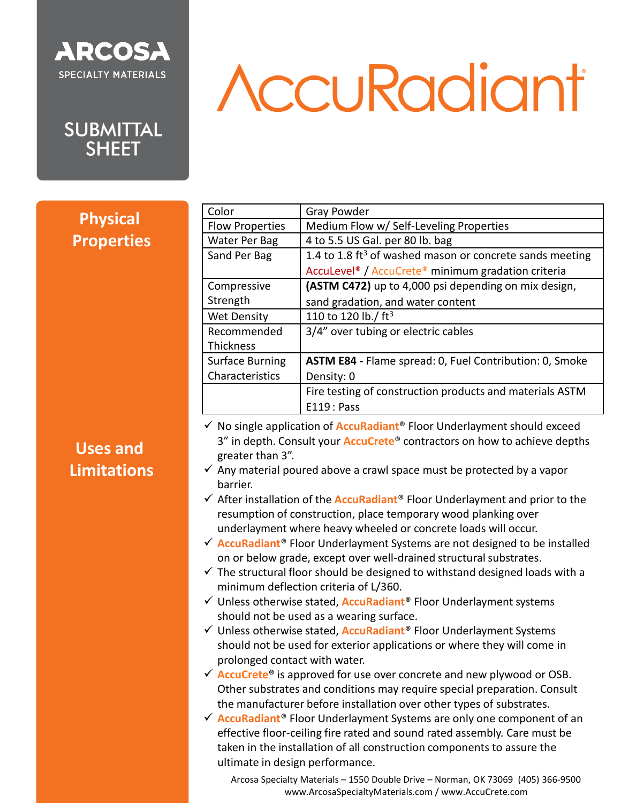

### **AccuRadiant**

SUBMITTAL<br>SHEET

| Color                                                                                                                                                                                                                                                                                                                                                                                                                                                                                                                                                                                                                                                                                                                                                                                                                                                                                                                                                                                                                                                                                                                                                                                                                                                                                                                                                                                                                                                                                                                                                                                                                                                                                                           | Gray Powder                                                                |
|-----------------------------------------------------------------------------------------------------------------------------------------------------------------------------------------------------------------------------------------------------------------------------------------------------------------------------------------------------------------------------------------------------------------------------------------------------------------------------------------------------------------------------------------------------------------------------------------------------------------------------------------------------------------------------------------------------------------------------------------------------------------------------------------------------------------------------------------------------------------------------------------------------------------------------------------------------------------------------------------------------------------------------------------------------------------------------------------------------------------------------------------------------------------------------------------------------------------------------------------------------------------------------------------------------------------------------------------------------------------------------------------------------------------------------------------------------------------------------------------------------------------------------------------------------------------------------------------------------------------------------------------------------------------------------------------------------------------|----------------------------------------------------------------------------|
| <b>Flow Properties</b>                                                                                                                                                                                                                                                                                                                                                                                                                                                                                                                                                                                                                                                                                                                                                                                                                                                                                                                                                                                                                                                                                                                                                                                                                                                                                                                                                                                                                                                                                                                                                                                                                                                                                          | Medium Flow w/ Self-Leveling Properties                                    |
| Water Per Bag                                                                                                                                                                                                                                                                                                                                                                                                                                                                                                                                                                                                                                                                                                                                                                                                                                                                                                                                                                                                                                                                                                                                                                                                                                                                                                                                                                                                                                                                                                                                                                                                                                                                                                   | 4 to 5.5 US Gal. per 80 lb. bag                                            |
| Sand Per Bag                                                                                                                                                                                                                                                                                                                                                                                                                                                                                                                                                                                                                                                                                                                                                                                                                                                                                                                                                                                                                                                                                                                                                                                                                                                                                                                                                                                                                                                                                                                                                                                                                                                                                                    | 1.4 to 1.8 ft <sup>3</sup> of washed mason or concrete sands meeting       |
|                                                                                                                                                                                                                                                                                                                                                                                                                                                                                                                                                                                                                                                                                                                                                                                                                                                                                                                                                                                                                                                                                                                                                                                                                                                                                                                                                                                                                                                                                                                                                                                                                                                                                                                 | AccuLevel <sup>®</sup> / AccuCrete <sup>®</sup> minimum gradation criteria |
| Compressive                                                                                                                                                                                                                                                                                                                                                                                                                                                                                                                                                                                                                                                                                                                                                                                                                                                                                                                                                                                                                                                                                                                                                                                                                                                                                                                                                                                                                                                                                                                                                                                                                                                                                                     | (ASTM C472) up to 4,000 psi depending on mix design,                       |
| Strength                                                                                                                                                                                                                                                                                                                                                                                                                                                                                                                                                                                                                                                                                                                                                                                                                                                                                                                                                                                                                                                                                                                                                                                                                                                                                                                                                                                                                                                                                                                                                                                                                                                                                                        | sand gradation, and water content                                          |
| <b>Wet Density</b>                                                                                                                                                                                                                                                                                                                                                                                                                                                                                                                                                                                                                                                                                                                                                                                                                                                                                                                                                                                                                                                                                                                                                                                                                                                                                                                                                                                                                                                                                                                                                                                                                                                                                              | 110 to 120 lb./ ft <sup>3</sup>                                            |
| Recommended                                                                                                                                                                                                                                                                                                                                                                                                                                                                                                                                                                                                                                                                                                                                                                                                                                                                                                                                                                                                                                                                                                                                                                                                                                                                                                                                                                                                                                                                                                                                                                                                                                                                                                     | 3/4" over tubing or electric cables                                        |
| <b>Thickness</b>                                                                                                                                                                                                                                                                                                                                                                                                                                                                                                                                                                                                                                                                                                                                                                                                                                                                                                                                                                                                                                                                                                                                                                                                                                                                                                                                                                                                                                                                                                                                                                                                                                                                                                |                                                                            |
| <b>Surface Burning</b>                                                                                                                                                                                                                                                                                                                                                                                                                                                                                                                                                                                                                                                                                                                                                                                                                                                                                                                                                                                                                                                                                                                                                                                                                                                                                                                                                                                                                                                                                                                                                                                                                                                                                          | ASTM E84 - Flame spread: 0, Fuel Contribution: 0, Smoke                    |
| Characteristics                                                                                                                                                                                                                                                                                                                                                                                                                                                                                                                                                                                                                                                                                                                                                                                                                                                                                                                                                                                                                                                                                                                                                                                                                                                                                                                                                                                                                                                                                                                                                                                                                                                                                                 | Density: 0                                                                 |
|                                                                                                                                                                                                                                                                                                                                                                                                                                                                                                                                                                                                                                                                                                                                                                                                                                                                                                                                                                                                                                                                                                                                                                                                                                                                                                                                                                                                                                                                                                                                                                                                                                                                                                                 | Fire testing of construction products and materials ASTM                   |
|                                                                                                                                                                                                                                                                                                                                                                                                                                                                                                                                                                                                                                                                                                                                                                                                                                                                                                                                                                                                                                                                                                                                                                                                                                                                                                                                                                                                                                                                                                                                                                                                                                                                                                                 | <b>E119: Pass</b>                                                          |
| $\checkmark$ No single application of <b>AccuRadiant<sup>®</sup></b> Floor Underlayment should exceed<br>3" in depth. Consult your <b>AccuCrete<sup>®</sup></b> contractors on how to achieve depths<br>greater than 3".<br>$\checkmark$ Any material poured above a crawl space must be protected by a vapor<br>barrier.<br>$\checkmark$ After installation of the <b>AccuRadiant</b> ® Floor Underlayment and prior to the<br>resumption of construction, place temporary wood planking over<br>underlayment where heavy wheeled or concrete loads will occur.<br>√ AccuRadiant® Floor Underlayment Systems are not designed to be installed<br>on or below grade, except over well-drained structural substrates.<br>$\checkmark$ The structural floor should be designed to withstand designed loads with a<br>minimum deflection criteria of L/360.<br>√ Unless otherwise stated, <b>AccuRadiant®</b> Floor Underlayment systems<br>should not be used as a wearing surface.<br>√ Unless otherwise stated, <b>AccuRadiant®</b> Floor Underlayment Systems<br>should not be used for exterior applications or where they will come in<br>prolonged contact with water.<br>$\checkmark$ AccuCrete <sup>®</sup> is approved for use over concrete and new plywood or OSB.<br>Other substrates and conditions may require special preparation. Consult<br>the manufacturer before installation over other types of substrates.<br>√ AccuRadiant <sup>®</sup> Floor Underlayment Systems are only one component of an<br>effective floor-ceiling fire rated and sound rated assembly. Care must be<br>taken in the installation of all construction components to assure the<br>ultimate in design performance. |                                                                            |
|                                                                                                                                                                                                                                                                                                                                                                                                                                                                                                                                                                                                                                                                                                                                                                                                                                                                                                                                                                                                                                                                                                                                                                                                                                                                                                                                                                                                                                                                                                                                                                                                                                                                                                                 |                                                                            |

Arcosa Specialty Materials – 1550 Double Drive – Norman, OK 73069 (405) 366-9500 Arcosa Specialty Materials – 1550 Double Drive – Norman, OK 73069 (405) 366-9500 www.ArcosaSpecialtyMaterials.com / www.AccuCrete.com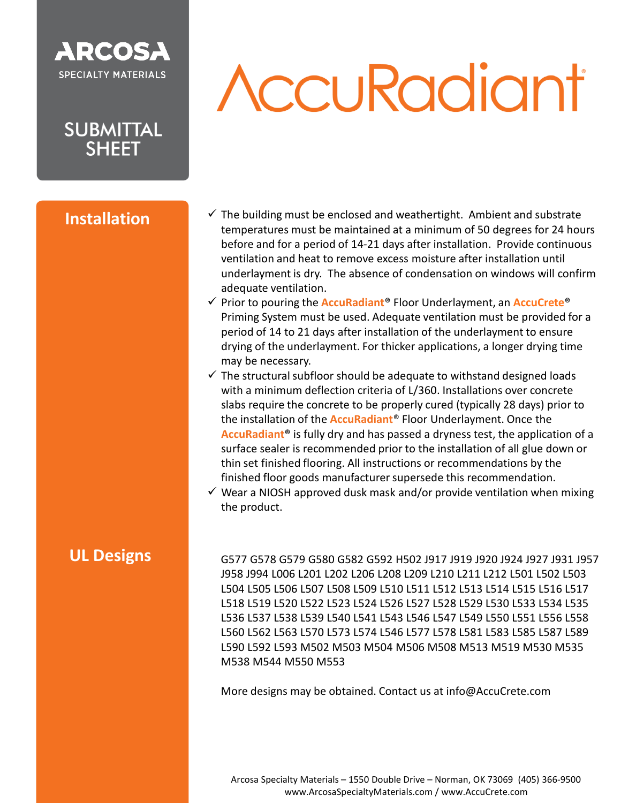### **ARCOSA SPECIALTY MATERIALS**

**SUBMITTAL SHEET** 

#### **Installation**

# **AccuRadiant**

- $\checkmark$  The building must be enclosed and weathertight. Ambient and substrate temperatures must be maintained at a minimum of 50 degrees for 24 hours before and for a period of 14-21 days after installation. Provide continuous ventilation and heat to remove excess moisture after installation until underlayment is dry. The absence of condensation on windows will confirm adequate ventilation.
- ✓ Prior to pouring the **AccuRadiant**® Floor Underlayment, an **AccuCrete**® Priming System must be used. Adequate ventilation must be provided for a period of 14 to 21 days after installation of the underlayment to ensure drying of the underlayment. For thicker applications, a longer drying time may be necessary.
- $\checkmark$  The structural subfloor should be adequate to withstand designed loads with a minimum deflection criteria of L/360. Installations over concrete slabs require the concrete to be properly cured (typically 28 days) prior to the installation of the **AccuRadiant**® Floor Underlayment. Once the **AccuRadiant**® is fully dry and has passed a dryness test, the application of a surface sealer is recommended prior to the installation of all glue down or thin set finished flooring. All instructions or recommendations by the finished floor goods manufacturer supersede this recommendation.
- $\checkmark$  Wear a NIOSH approved dusk mask and/or provide ventilation when mixing the product.

#### **UL Designs**

G577 G578 G579 G580 G582 G592 H502 J917 J919 J920 J924 J927 J931 J957 J958 J994 L006 L201 L202 L206 L208 L209 L210 L211 L212 L501 L502 L503 L504 L505 L506 L507 L508 L509 L510 L511 L512 L513 L514 L515 L516 L517 L518 L519 L520 L522 L523 L524 L526 L527 L528 L529 L530 L533 L534 L535 L536 L537 L538 L539 L540 L541 L543 L546 L547 L549 L550 L551 L556 L558 L560 L562 L563 L570 L573 L574 L546 L577 L578 L581 L583 L585 L587 L589 L590 L592 L593 M502 M503 M504 M506 M508 M513 M519 M530 M535 M538 M544 M550 M553

More designs may be obtained. Contact us at info@AccuCrete.com